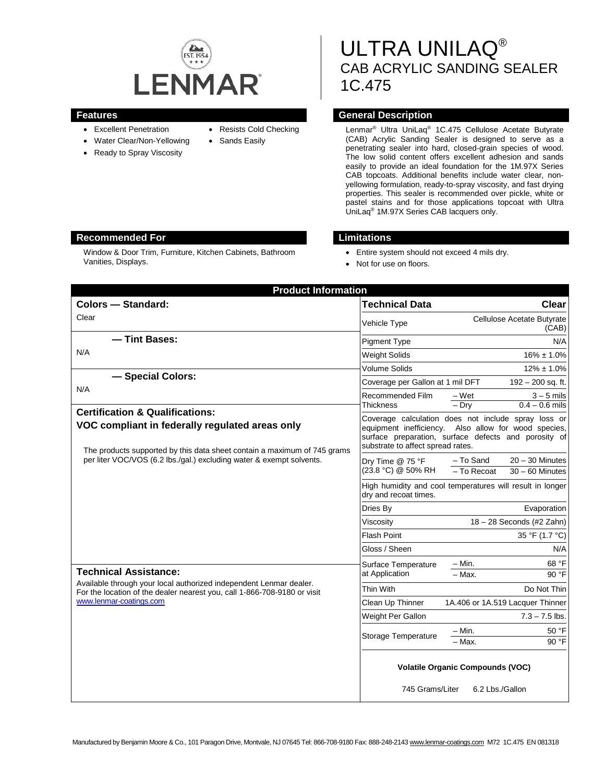

- Excellent Penetration
- Water Clear/Non-Yellowing
- Ready to Spray Viscosity
- Resists Cold Checking
- Sands Easily
- 
- 

ULTRA UNILAQ® CAB ACRYLIC SANDING SEALER 1C.475

# **Features General Description**

Lenmar® Ultra UniLaq® 1C.475 Cellulose Acetate Butyrate (CAB) Acrylic Sanding Sealer is designed to serve as a penetrating sealer into hard, closed-grain species of wood. The low solid content offers excellent adhesion and sands easily to provide an ideal foundation for the 1M.97X Series CAB topcoats. Additional benefits include water clear, nonyellowing formulation, ready-to-spray viscosity, and fast drying properties. This sealer is recommended over pickle, white or pastel stains and for those applications topcoat with Ultra UniLaq® 1M.97X Series CAB lacquers only.

#### **Recommended For Limitations**

Window & Door Trim, Furniture, Kitchen Cabinets, Bathroom Vanities, Displays.

- Entire system should not exceed 4 mils dry.
- Not for use on floors.

| <b>Product Information</b>                                                                                                                                                                                                                                                        |                                                                                    |                                                                                                                                                                     |
|-----------------------------------------------------------------------------------------------------------------------------------------------------------------------------------------------------------------------------------------------------------------------------------|------------------------------------------------------------------------------------|---------------------------------------------------------------------------------------------------------------------------------------------------------------------|
| <b>Colors - Standard:</b>                                                                                                                                                                                                                                                         | <b>Technical Data</b>                                                              | <b>Clear</b>                                                                                                                                                        |
| Clear                                                                                                                                                                                                                                                                             | Vehicle Type                                                                       | Cellulose Acetate Butyrate<br>(CAB)                                                                                                                                 |
| - Tint Bases:                                                                                                                                                                                                                                                                     | <b>Pigment Type</b>                                                                | N/A                                                                                                                                                                 |
| N/A                                                                                                                                                                                                                                                                               | <b>Weight Solids</b>                                                               | $16\% \pm 1.0\%$                                                                                                                                                    |
|                                                                                                                                                                                                                                                                                   | <b>Volume Solids</b>                                                               | $12\% \pm 1.0\%$                                                                                                                                                    |
| - Special Colors:                                                                                                                                                                                                                                                                 | Coverage per Gallon at 1 mil DFT                                                   | 192 - 200 sq. ft.                                                                                                                                                   |
| N/A                                                                                                                                                                                                                                                                               | Recommended Film<br>Thickness                                                      | – Wet<br>$3 - 5$ mils<br>$-$ Dry<br>$0.4 - 0.6$ mils                                                                                                                |
| <b>Certification &amp; Qualifications:</b><br>VOC compliant in federally regulated areas only<br>The products supported by this data sheet contain a maximum of 745 grams                                                                                                         | substrate to affect spread rates.                                                  | Coverage calculation does not include spray loss or<br>equipment inefficiency. Also allow for wood species,<br>surface preparation, surface defects and porosity of |
| per liter VOC/VOS (6.2 lbs./gal.) excluding water & exempt solvents.<br><b>Technical Assistance:</b><br>Available through your local authorized independent Lenmar dealer.<br>For the location of the dealer nearest you, call 1-866-708-9180 or visit<br>www.lenmar-coatings.com | Dry Time @ 75 °F<br>(23.8 °C) @ 50% RH                                             | - To Sand<br>$20 - 30$ Minutes<br>- To Recoat<br>$30 - 60$ Minutes                                                                                                  |
|                                                                                                                                                                                                                                                                                   | High humidity and cool temperatures will result in longer<br>dry and recoat times. |                                                                                                                                                                     |
|                                                                                                                                                                                                                                                                                   | Dries By                                                                           | Evaporation                                                                                                                                                         |
|                                                                                                                                                                                                                                                                                   | Viscosity                                                                          | 18 - 28 Seconds (#2 Zahn)                                                                                                                                           |
|                                                                                                                                                                                                                                                                                   | <b>Flash Point</b>                                                                 | 35 °F (1.7 °C)                                                                                                                                                      |
|                                                                                                                                                                                                                                                                                   | Gloss / Sheen                                                                      | N/A                                                                                                                                                                 |
|                                                                                                                                                                                                                                                                                   | Surface Temperature<br>at Application                                              | $- Min.$<br>68 °F<br>$-$ Max.<br>90 °F                                                                                                                              |
|                                                                                                                                                                                                                                                                                   | Thin With                                                                          | Do Not Thin                                                                                                                                                         |
|                                                                                                                                                                                                                                                                                   | Clean Up Thinner                                                                   | 1A.406 or 1A.519 Lacquer Thinner                                                                                                                                    |
|                                                                                                                                                                                                                                                                                   | Weight Per Gallon                                                                  | $7.3 - 7.5$ lbs.                                                                                                                                                    |
|                                                                                                                                                                                                                                                                                   | Storage Temperature                                                                | – Min.<br>50 °F<br>90 °F<br>$-$ Max.                                                                                                                                |
|                                                                                                                                                                                                                                                                                   | <b>Volatile Organic Compounds (VOC)</b><br>745 Grams/Liter<br>6.2 Lbs./Gallon      |                                                                                                                                                                     |